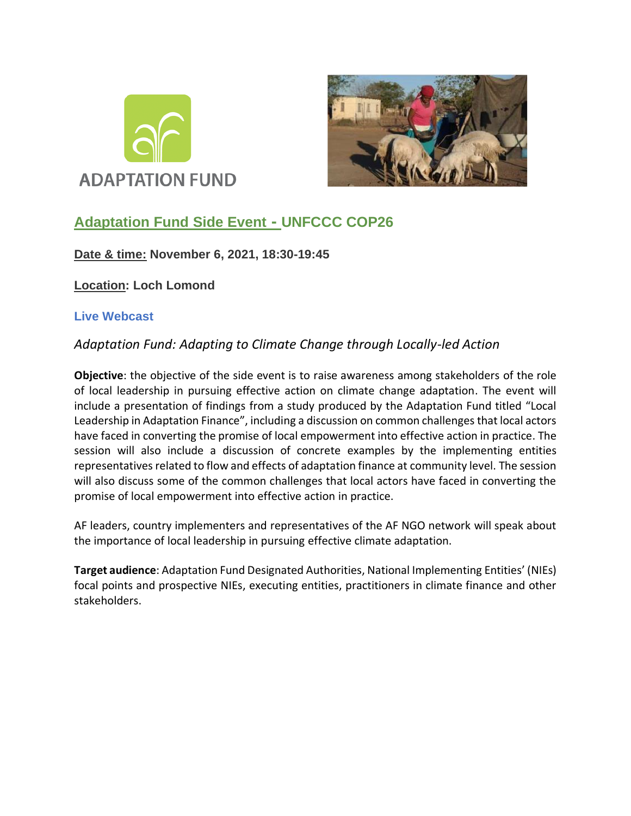



# **Adaptation Fund Side Event - UNFCCC COP26**

## **Date & time: November 6, 2021, 18:30-19:45**

**Location: Loch Lomond** 

## **Live Webcast**

## *Adaptation Fund: Adapting to Climate Change through Locally-led Action*

**Objective**: the objective of the side event is to raise awareness among stakeholders of the role of local leadership in pursuing effective action on climate change adaptation. The event will include a presentation of findings from a study produced by the Adaptation Fund titled "Local Leadership in Adaptation Finance", including a discussion on common challenges that local actors have faced in converting the promise of local empowerment into effective action in practice. The session will also include a discussion of concrete examples by the implementing entities representatives related to flow and effects of adaptation finance at community level. The session will also discuss some of the common challenges that local actors have faced in converting the promise of local empowerment into effective action in practice.

AF leaders, country implementers and representatives of the AF NGO network will speak about the importance of local leadership in pursuing effective climate adaptation.

**Target audience**: Adaptation Fund Designated Authorities, National Implementing Entities' (NIEs) focal points and prospective NIEs, executing entities, practitioners in climate finance and other stakeholders.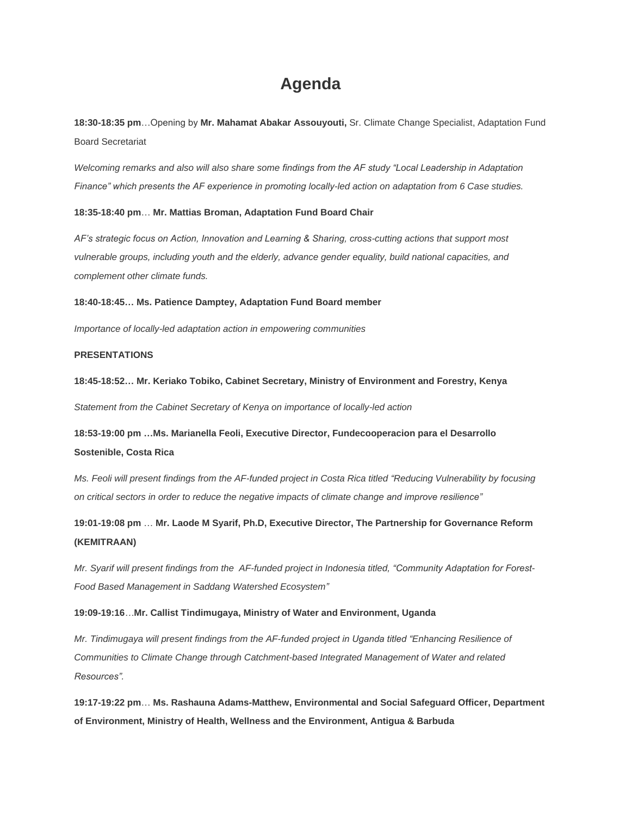# **Agenda**

**18:30-18:35 pm**…Opening by **Mr. Mahamat Abakar Assouyouti,** Sr. Climate Change Specialist, Adaptation Fund Board Secretariat

*Welcoming remarks and also will also share some findings from the AF study "Local Leadership in Adaptation Finance" which presents the AF experience in promoting locally-led action on adaptation from 6 Case studies.*

#### **18:35-18:40 pm**… **Mr. Mattias Broman, Adaptation Fund Board Chair**

*AF's strategic focus on Action, Innovation and Learning & Sharing, cross-cutting actions that support most vulnerable groups, including youth and the elderly, advance gender equality, build national capacities, and complement other climate funds.*

#### **18:40-18:45… Ms. Patience Damptey, Adaptation Fund Board member**

*Importance of locally-led adaptation action in empowering communities*

### **PRESENTATIONS**

**18:45-18:52… Mr. Keriako Tobiko, Cabinet Secretary, Ministry of Environment and Forestry, Kenya** *Statement from the Cabinet Secretary of Kenya on importance of locally-led action*

**18:53-19:00 pm …Ms. Marianella Feoli, Executive Director, Fundecooperacion para el Desarrollo Sostenible, Costa Rica**

*Ms. Feoli will present findings from the AF-funded project in Costa Rica titled "Reducing Vulnerability by focusing on critical sectors in order to reduce the negative impacts of climate change and improve resilience"*

**19:01-19:08 pm** … **Mr. Laode M Syarif, Ph.D, Executive Director, The Partnership for Governance Reform (KEMITRAAN)**

Mr. Syarif will present findings from the AF-funded project in Indonesia titled, "Community Adaptation for Forest-*Food Based Management in Saddang Watershed Ecosystem"*

#### **19:09-19:16***…***Mr. Callist Tindimugaya, Ministry of Water and Environment, Uganda**

*Mr. Tindimugaya will present findings from the AF-funded project in Uganda titled "Enhancing Resilience of Communities to Climate Change through Catchment-based Integrated Management of Water and related Resources".*

**19:17-19:22 pm**… **Ms. Rashauna Adams-Matthew, Environmental and Social Safeguard Officer, Department of Environment, Ministry of Health, Wellness and the Environment, Antigua & Barbuda**